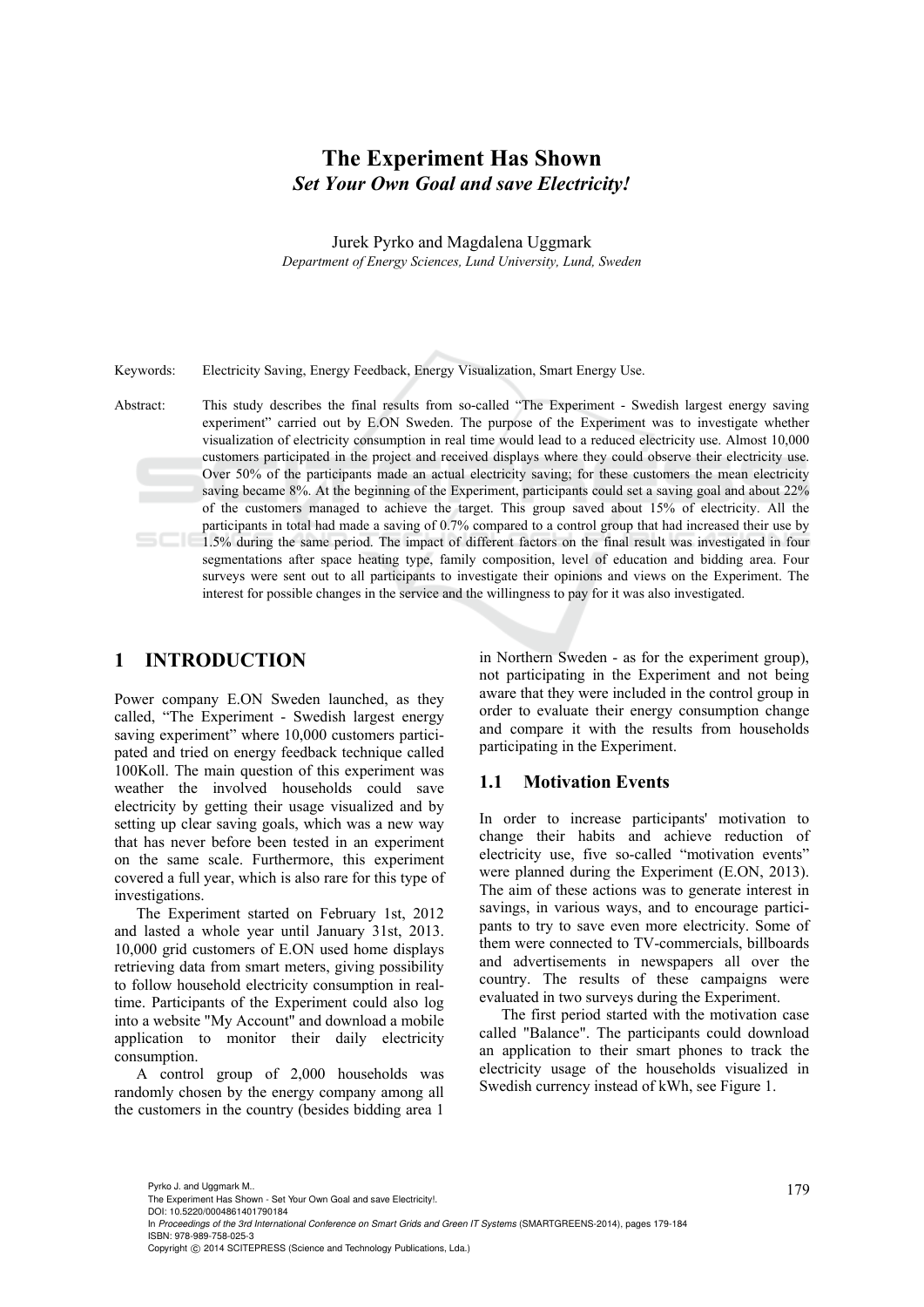# **The Experiment Has Shown**  *Set Your Own Goal and save Electricity!*

Jurek Pyrko and Magdalena Uggmark

*Department of Energy Sciences, Lund University, Lund, Sweden* 

Keywords: Electricity Saving, Energy Feedback, Energy Visualization, Smart Energy Use.

Abstract: This study describes the final results from so-called "The Experiment - Swedish largest energy saving experiment" carried out by E.ON Sweden. The purpose of the Experiment was to investigate whether visualization of electricity consumption in real time would lead to a reduced electricity use. Almost 10,000 customers participated in the project and received displays where they could observe their electricity use. Over 50% of the participants made an actual electricity saving; for these customers the mean electricity saving became 8%. At the beginning of the Experiment, participants could set a saving goal and about 22% of the customers managed to achieve the target. This group saved about 15% of electricity. All the participants in total had made a saving of 0.7% compared to a control group that had increased their use by 1.5% during the same period. The impact of different factors on the final result was investigated in four segmentations after space heating type, family composition, level of education and bidding area. Four surveys were sent out to all participants to investigate their opinions and views on the Experiment. The interest for possible changes in the service and the willingness to pay for it was also investigated.

### **1 INTRODUCTION**

Power company E.ON Sweden launched, as they called, "The Experiment - Swedish largest energy saving experiment" where 10,000 customers participated and tried on energy feedback technique called 100Koll. The main question of this experiment was weather the involved households could save electricity by getting their usage visualized and by setting up clear saving goals, which was a new way that has never before been tested in an experiment on the same scale. Furthermore, this experiment covered a full year, which is also rare for this type of investigations.

The Experiment started on February 1st, 2012 and lasted a whole year until January 31st, 2013. 10,000 grid customers of E.ON used home displays retrieving data from smart meters, giving possibility to follow household electricity consumption in realtime. Participants of the Experiment could also log into a website "My Account" and download a mobile application to monitor their daily electricity consumption.

A control group of 2,000 households was randomly chosen by the energy company among all the customers in the country (besides bidding area 1

in Northern Sweden - as for the experiment group), not participating in the Experiment and not being aware that they were included in the control group in order to evaluate their energy consumption change and compare it with the results from households participating in the Experiment.

#### **1.1 Motivation Events**

In order to increase participants' motivation to change their habits and achieve reduction of electricity use, five so-called "motivation events" were planned during the Experiment (E.ON, 2013). The aim of these actions was to generate interest in savings, in various ways, and to encourage participants to try to save even more electricity. Some of them were connected to TV-commercials, billboards and advertisements in newspapers all over the country. The results of these campaigns were evaluated in two surveys during the Experiment.

The first period started with the motivation case called "Balance". The participants could download an application to their smart phones to track the electricity usage of the households visualized in Swedish currency instead of kWh, see Figure 1.

Pyrko J. and Uggmark M..<br>The Experiment Has Shown - Set Your Own Goal and save Electricity!.

DOI: 10.5220/0004861401790184

In *Proceedings of the 3rd International Conference on Smart Grids and Green IT Systems* (SMARTGREENS-2014), pages 179-184 ISBN: 978-989-758-025-3

Copyright (C) 2014 SCITEPRESS (Science and Technology Publications, Lda.)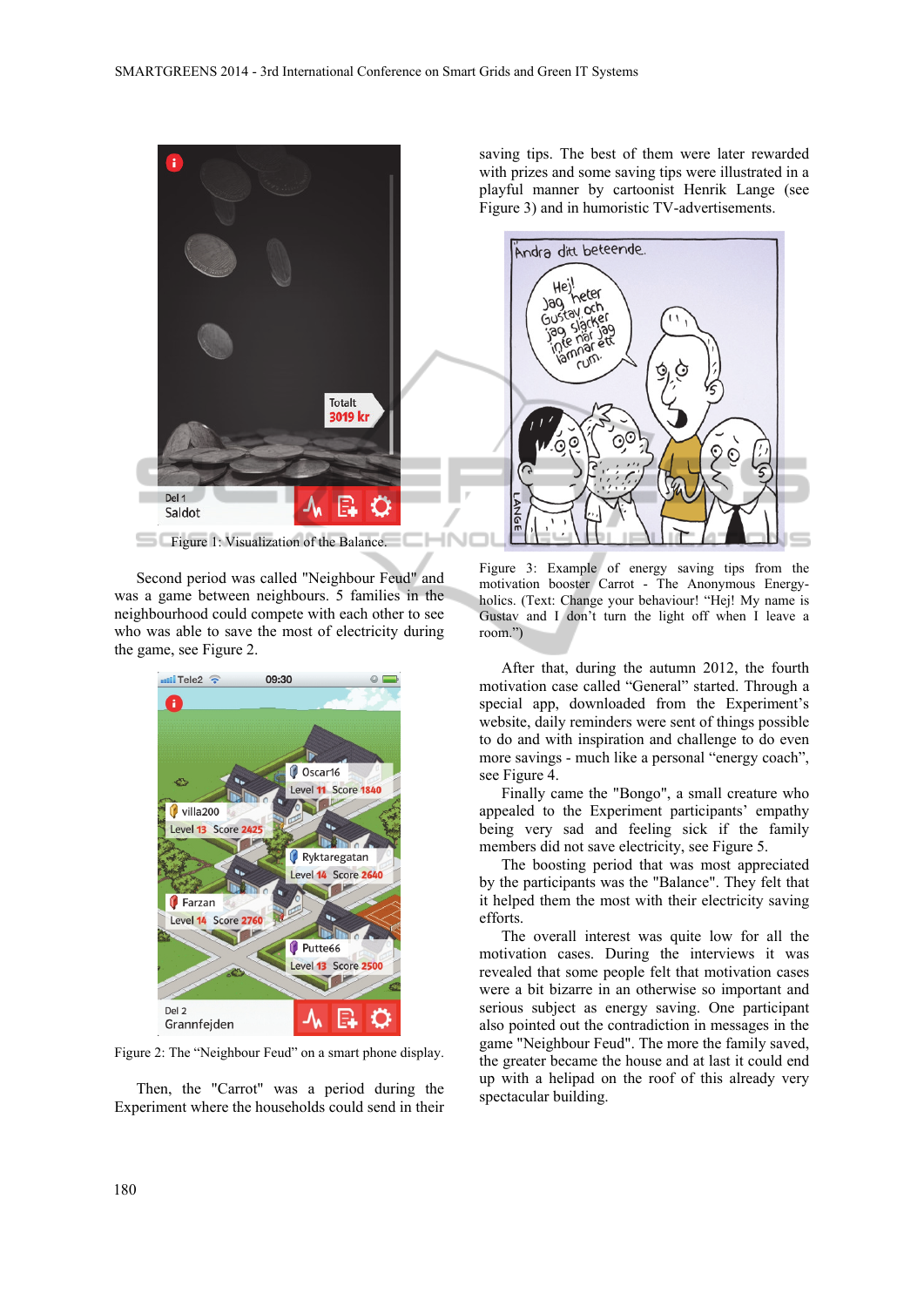

saving tips. The best of them were later rewarded with prizes and some saving tips were illustrated in a playful manner by cartoonist Henrik Lange (see Figure 3) and in humoristic TV-advertisements.



Second period was called "Neighbour Feud" and was a game between neighbours. 5 families in the neighbourhood could compete with each other to see who was able to save the most of electricity during the game, see Figure 2.



Figure 2: The "Neighbour Feud" on a smart phone display.

Then, the "Carrot" was a period during the Experiment where the households could send in their

Figure 3: Example of energy saving tips from the motivation booster Carrot - The Anonymous Energyholics. (Text: Change your behaviour! "Hej! My name is Gustav and I don't turn the light off when I leave a room.")

After that, during the autumn 2012, the fourth motivation case called "General" started. Through a special app, downloaded from the Experiment's website, daily reminders were sent of things possible to do and with inspiration and challenge to do even more savings - much like a personal "energy coach", see Figure 4.

Finally came the "Bongo", a small creature who appealed to the Experiment participants' empathy being very sad and feeling sick if the family members did not save electricity, see Figure 5.

The boosting period that was most appreciated by the participants was the "Balance". They felt that it helped them the most with their electricity saving efforts.

The overall interest was quite low for all the motivation cases. During the interviews it was revealed that some people felt that motivation cases were a bit bizarre in an otherwise so important and serious subject as energy saving. One participant also pointed out the contradiction in messages in the game "Neighbour Feud". The more the family saved, the greater became the house and at last it could end up with a helipad on the roof of this already very spectacular building.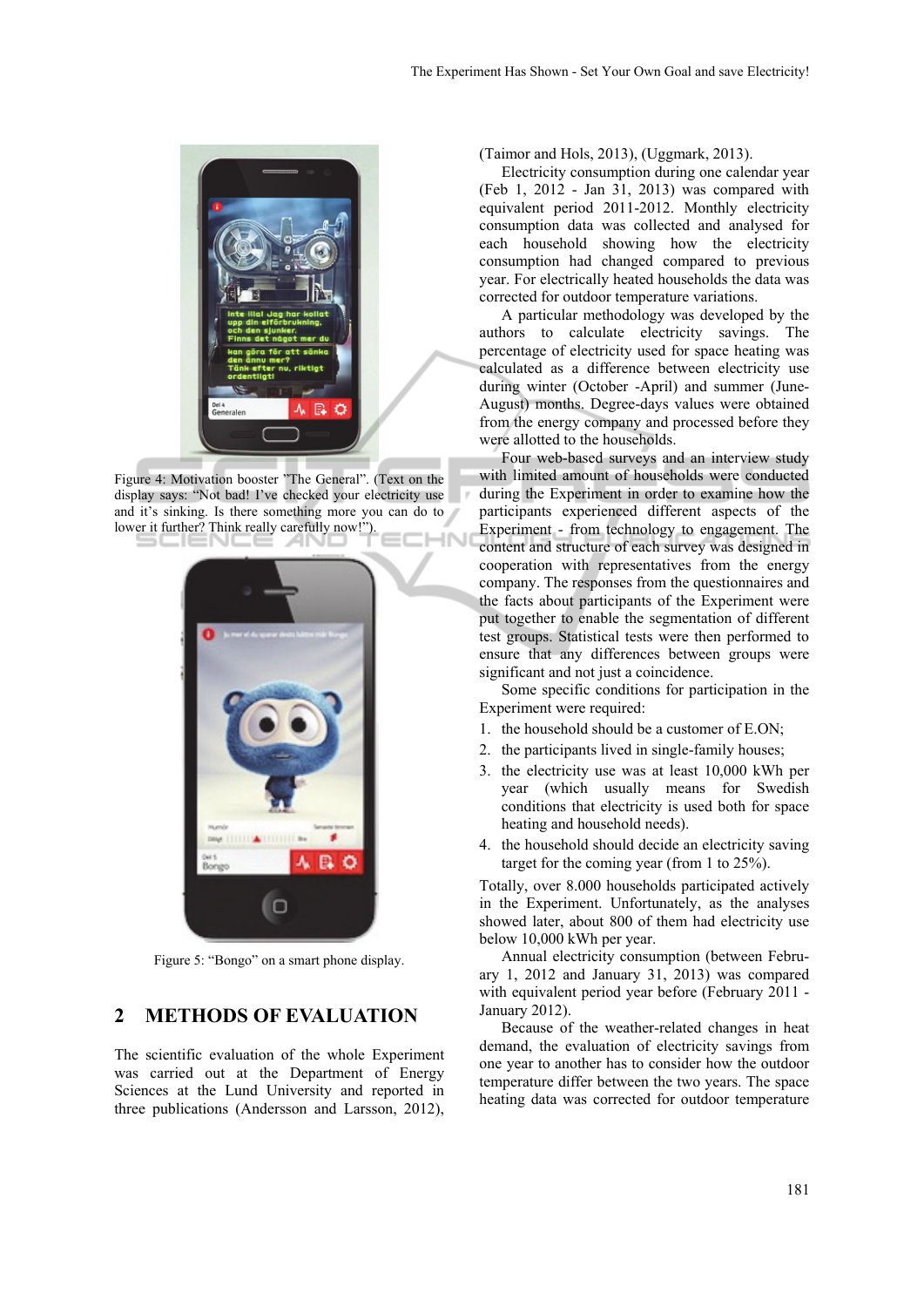

Figure 4: Motivation booster "The General". (Text on the display says: "Not bad! I've checked your electricity use and it's sinking. Is there something more you can do to lower it further? Think really carefully now!"). IN



Figure 5: "Bongo" on a smart phone display.

### **2 METHODS OF EVALUATION**

The scientific evaluation of the whole Experiment was carried out at the Department of Energy Sciences at the Lund University and reported in three publications (Andersson and Larsson, 2012),

(Taimor and Hols, 2013), (Uggmark, 2013).

Electricity consumption during one calendar year (Feb 1, 2012 - Jan 31, 2013) was compared with equivalent period 2011-2012. Monthly electricity consumption data was collected and analysed for each household showing how the electricity consumption had changed compared to previous year. For electrically heated households the data was corrected for outdoor temperature variations.

A particular methodology was developed by the authors to calculate electricity savings. The percentage of electricity used for space heating was calculated as a difference between electricity use during winter (October -April) and summer (June-August) months. Degree-days values were obtained from the energy company and processed before they were allotted to the households.

Four web-based surveys and an interview study with limited amount of households were conducted during the Experiment in order to examine how the participants experienced different aspects of the Experiment - from technology to engagement. The content and structure of each survey was designed in cooperation with representatives from the energy company. The responses from the questionnaires and the facts about participants of the Experiment were put together to enable the segmentation of different test groups. Statistical tests were then performed to ensure that any differences between groups were significant and not just a coincidence.

Some specific conditions for participation in the Experiment were required:

- 1. the household should be a customer of E.ON;
- 2. the participants lived in single-family houses;
- 3. the electricity use was at least 10,000 kWh per year (which usually means for Swedish conditions that electricity is used both for space heating and household needs).
- 4. the household should decide an electricity saving target for the coming year (from 1 to 25%).

Totally, over 8.000 households participated actively in the Experiment. Unfortunately, as the analyses showed later, about 800 of them had electricity use below 10,000 kWh per year.

Annual electricity consumption (between February 1, 2012 and January 31, 2013) was compared with equivalent period year before (February 2011 - January 2012).

Because of the weather-related changes in heat demand, the evaluation of electricity savings from one year to another has to consider how the outdoor temperature differ between the two years. The space heating data was corrected for outdoor temperature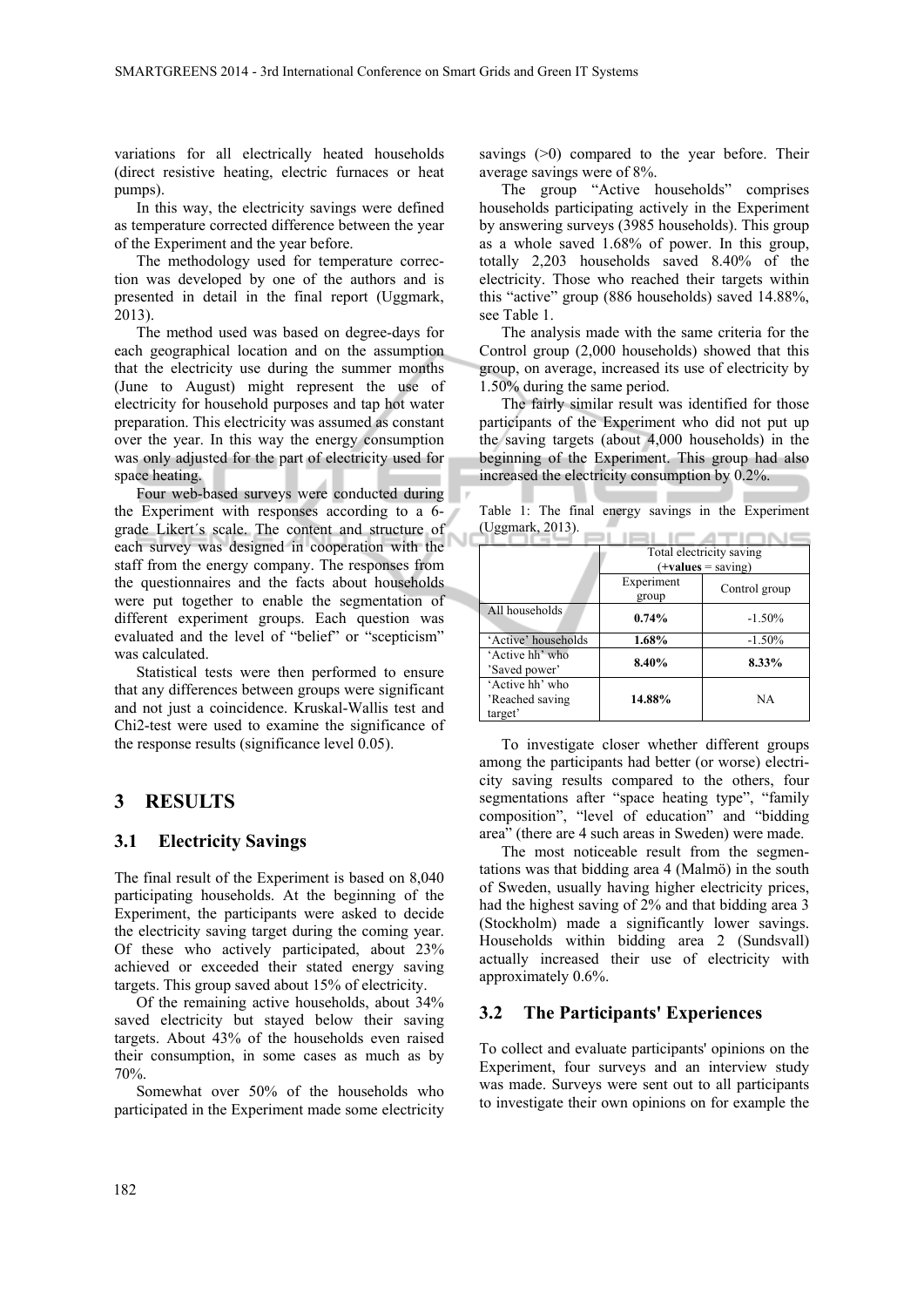variations for all electrically heated households (direct resistive heating, electric furnaces or heat pumps).

In this way, the electricity savings were defined as temperature corrected difference between the year of the Experiment and the year before.

The methodology used for temperature correction was developed by one of the authors and is presented in detail in the final report (Uggmark, 2013).

The method used was based on degree-days for each geographical location and on the assumption that the electricity use during the summer months (June to August) might represent the use of electricity for household purposes and tap hot water preparation. This electricity was assumed as constant over the year. In this way the energy consumption was only adjusted for the part of electricity used for space heating.

Four web-based surveys were conducted during the Experiment with responses according to a 6 grade Likert´s scale. The content and structure of each survey was designed in cooperation with the staff from the energy company. The responses from the questionnaires and the facts about households were put together to enable the segmentation of different experiment groups. Each question was evaluated and the level of "belief" or "scepticism" was calculated.

Statistical tests were then performed to ensure that any differences between groups were significant and not just a coincidence. Kruskal-Wallis test and Chi2-test were used to examine the significance of the response results (significance level 0.05).

### **3 RESULTS**

#### **3.1 Electricity Savings**

The final result of the Experiment is based on 8,040 participating households. At the beginning of the Experiment, the participants were asked to decide the electricity saving target during the coming year. Of these who actively participated, about 23% achieved or exceeded their stated energy saving targets. This group saved about 15% of electricity.

Of the remaining active households, about 34% saved electricity but stayed below their saving targets. About 43% of the households even raised their consumption, in some cases as much as by 70%.

Somewhat over 50% of the households who participated in the Experiment made some electricity

savings (>0) compared to the year before. Their average savings were of 8%.

The group "Active households" comprises households participating actively in the Experiment by answering surveys (3985 households). This group as a whole saved 1.68% of power. In this group, totally 2,203 households saved 8.40% of the electricity. Those who reached their targets within this "active" group (886 households) saved 14.88%, see Table 1.

The analysis made with the same criteria for the Control group (2,000 households) showed that this group, on average, increased its use of electricity by 1.50% during the same period.

The fairly similar result was identified for those participants of the Experiment who did not put up the saving targets (about 4,000 households) in the beginning of the Experiment. This group had also increased the electricity consumption by 0.2%.

|                  |  |  |  | Table 1: The final energy savings in the Experiment |
|------------------|--|--|--|-----------------------------------------------------|
| (Uggmark, 2013). |  |  |  |                                                     |

|                                               | Total electricity saving<br>$(+values = saving)$ |               |  |  |
|-----------------------------------------------|--------------------------------------------------|---------------|--|--|
|                                               | Experiment<br>group                              | Control group |  |  |
| All households                                | $0.74\%$                                         | $-1.50%$      |  |  |
| 'Active' households                           | 1.68%                                            | $-1.50%$      |  |  |
| 'Active hh' who<br>'Saved power'              | 8.40%                                            | 8.33%         |  |  |
| 'Active hh' who<br>'Reached saving<br>target' | 14.88%                                           | <b>NA</b>     |  |  |

To investigate closer whether different groups among the participants had better (or worse) electricity saving results compared to the others, four segmentations after "space heating type", "family composition", "level of education" and "bidding area" (there are 4 such areas in Sweden) were made.

The most noticeable result from the segmentations was that bidding area 4 (Malmö) in the south of Sweden, usually having higher electricity prices, had the highest saving of 2% and that bidding area 3 (Stockholm) made a significantly lower savings. Households within bidding area 2 (Sundsvall) actually increased their use of electricity with approximately 0.6%.

#### **3.2 The Participants' Experiences**

To collect and evaluate participants' opinions on the Experiment, four surveys and an interview study was made. Surveys were sent out to all participants to investigate their own opinions on for example the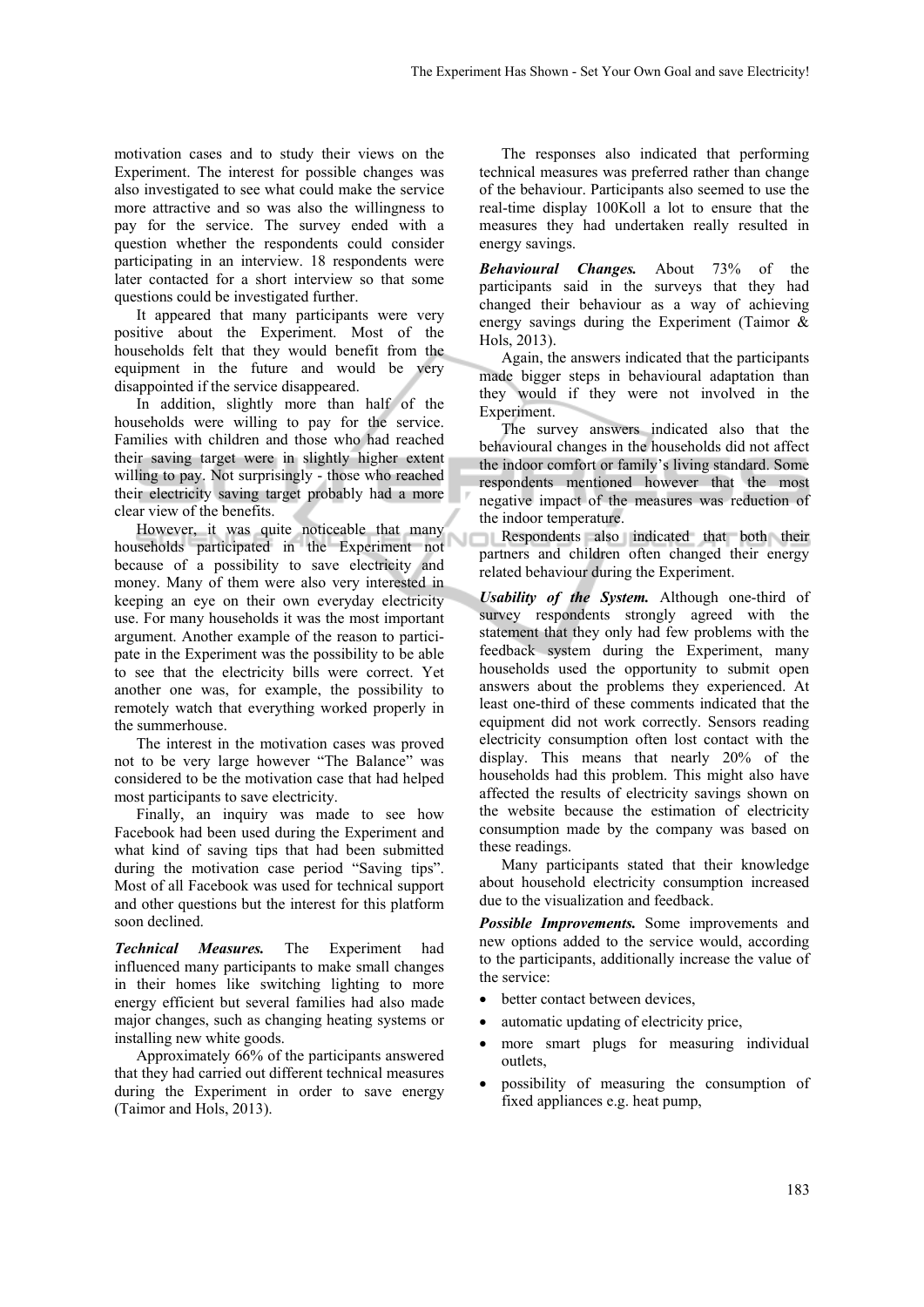motivation cases and to study their views on the Experiment. The interest for possible changes was also investigated to see what could make the service more attractive and so was also the willingness to pay for the service. The survey ended with a question whether the respondents could consider participating in an interview. 18 respondents were later contacted for a short interview so that some questions could be investigated further.

It appeared that many participants were very positive about the Experiment. Most of the households felt that they would benefit from the equipment in the future and would be very disappointed if the service disappeared.

In addition, slightly more than half of the households were willing to pay for the service. Families with children and those who had reached their saving target were in slightly higher extent willing to pay. Not surprisingly - those who reached their electricity saving target probably had a more clear view of the benefits.

However, it was quite noticeable that many households participated in the Experiment not because of a possibility to save electricity and money. Many of them were also very interested in keeping an eye on their own everyday electricity use. For many households it was the most important argument. Another example of the reason to participate in the Experiment was the possibility to be able to see that the electricity bills were correct. Yet another one was, for example, the possibility to remotely watch that everything worked properly in the summerhouse.

The interest in the motivation cases was proved not to be very large however "The Balance" was considered to be the motivation case that had helped most participants to save electricity.

Finally, an inquiry was made to see how Facebook had been used during the Experiment and what kind of saving tips that had been submitted during the motivation case period "Saving tips". Most of all Facebook was used for technical support and other questions but the interest for this platform soon declined.

*Technical Measures.* The Experiment had influenced many participants to make small changes in their homes like switching lighting to more energy efficient but several families had also made major changes, such as changing heating systems or installing new white goods.

Approximately 66% of the participants answered that they had carried out different technical measures during the Experiment in order to save energy (Taimor and Hols, 2013).

The responses also indicated that performing technical measures was preferred rather than change of the behaviour. Participants also seemed to use the real-time display 100Koll a lot to ensure that the measures they had undertaken really resulted in energy savings.

*Behavioural Changes.* About 73% of the participants said in the surveys that they had changed their behaviour as a way of achieving energy savings during the Experiment (Taimor & Hols, 2013).

Again, the answers indicated that the participants made bigger steps in behavioural adaptation than they would if they were not involved in the Experiment.

The survey answers indicated also that the behavioural changes in the households did not affect the indoor comfort or family's living standard. Some respondents mentioned however that the most negative impact of the measures was reduction of the indoor temperature.

Respondents also indicated that both their partners and children often changed their energy related behaviour during the Experiment.

*Usability of the System.* Although one-third of survey respondents strongly agreed with the statement that they only had few problems with the feedback system during the Experiment, many households used the opportunity to submit open answers about the problems they experienced. At least one-third of these comments indicated that the equipment did not work correctly. Sensors reading electricity consumption often lost contact with the display. This means that nearly 20% of the households had this problem. This might also have affected the results of electricity savings shown on the website because the estimation of electricity consumption made by the company was based on these readings.

Many participants stated that their knowledge about household electricity consumption increased due to the visualization and feedback.

*Possible Improvements.* Some improvements and new options added to the service would, according to the participants, additionally increase the value of the service:

- better contact between devices,
- automatic updating of electricity price,
- more smart plugs for measuring individual outlets,
- possibility of measuring the consumption of fixed appliances e.g. heat pump,